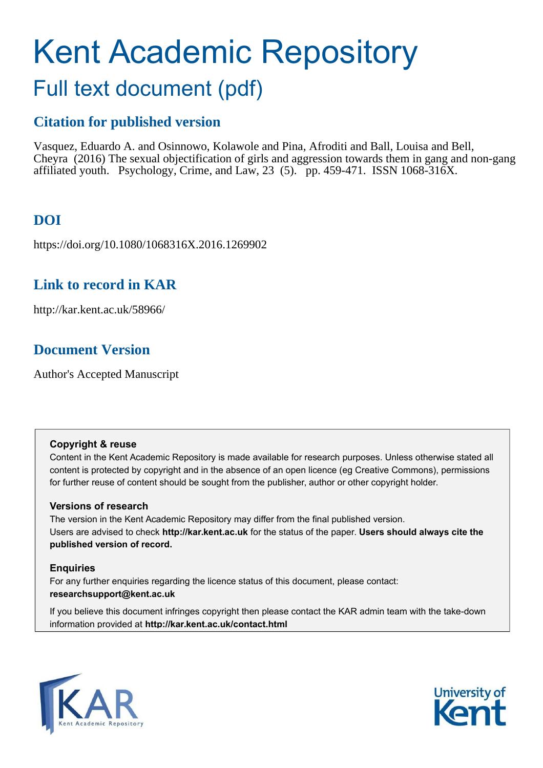# Kent Academic Repository

## Full text document (pdf)

## **Citation for published version**

Vasquez, Eduardo A. and Osinnowo, Kolawole and Pina, Afroditi and Ball, Louisa and Bell, Cheyra (2016) The sexual objectification of girls and aggression towards them in gang and non-gang affiliated youth. Psychology, Crime, and Law,  $23$  (5). pp. 459-471. ISSN 1068-316X.

## **DOI**

https://doi.org/10.1080/1068316X.2016.1269902

### **Link to record in KAR**

http://kar.kent.ac.uk/58966/

## **Document Version**

Author's Accepted Manuscript

#### **Copyright & reuse**

Content in the Kent Academic Repository is made available for research purposes. Unless otherwise stated all content is protected by copyright and in the absence of an open licence (eg Creative Commons), permissions for further reuse of content should be sought from the publisher, author or other copyright holder.

#### **Versions of research**

The version in the Kent Academic Repository may differ from the final published version. Users are advised to check **http://kar.kent.ac.uk** for the status of the paper. **Users should always cite the published version of record.**

#### **Enquiries**

For any further enquiries regarding the licence status of this document, please contact: **researchsupport@kent.ac.uk**

If you believe this document infringes copyright then please contact the KAR admin team with the take-down information provided at **http://kar.kent.ac.uk/contact.html**



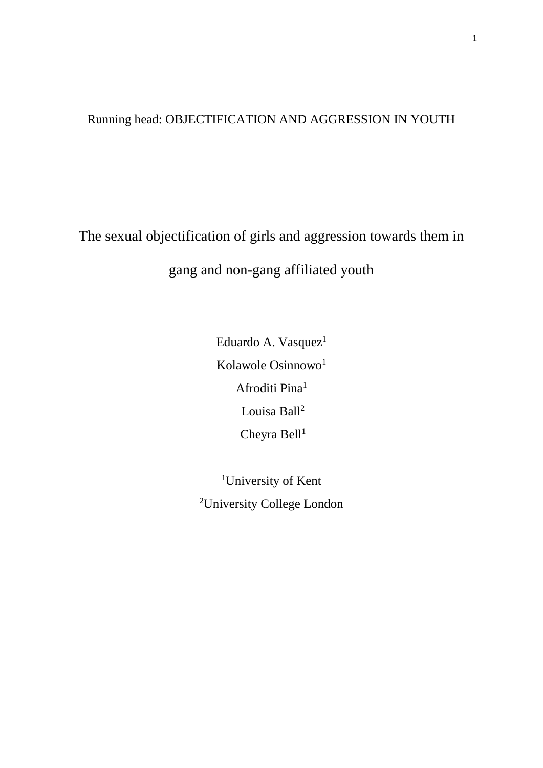## Running head: OBJECTIFICATION AND AGGRESSION IN YOUTH

The sexual objectification of girls and aggression towards them in gang and non-gang affiliated youth

> Eduardo A. Vasquez<sup>1</sup> Kolawole Osinnowo<sup>1</sup> Afroditi Pina<sup>1</sup> Louisa Ball<sup>2</sup> Cheyra Bell $1$

<sup>1</sup>University of Kent <sup>2</sup>University College London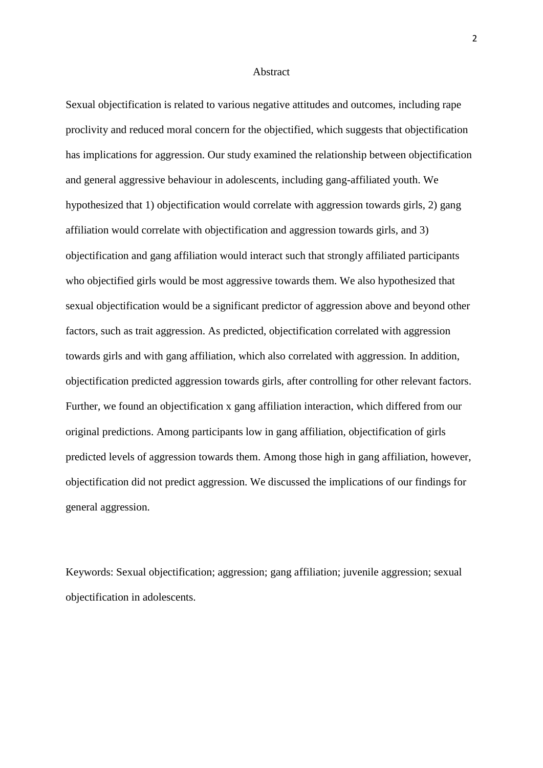#### Abstract

Sexual objectification is related to various negative attitudes and outcomes, including rape proclivity and reduced moral concern for the objectified, which suggests that objectification has implications for aggression. Our study examined the relationship between objectification and general aggressive behaviour in adolescents, including gang-affiliated youth. We hypothesized that 1) objectification would correlate with aggression towards girls, 2) gang affiliation would correlate with objectification and aggression towards girls, and 3) objectification and gang affiliation would interact such that strongly affiliated participants who objectified girls would be most aggressive towards them. We also hypothesized that sexual objectification would be a significant predictor of aggression above and beyond other factors, such as trait aggression. As predicted, objectification correlated with aggression towards girls and with gang affiliation, which also correlated with aggression. In addition, objectification predicted aggression towards girls, after controlling for other relevant factors. Further, we found an objectification x gang affiliation interaction, which differed from our original predictions. Among participants low in gang affiliation, objectification of girls predicted levels of aggression towards them. Among those high in gang affiliation, however, objectification did not predict aggression. We discussed the implications of our findings for general aggression.

Keywords: Sexual objectification; aggression; gang affiliation; juvenile aggression; sexual objectification in adolescents.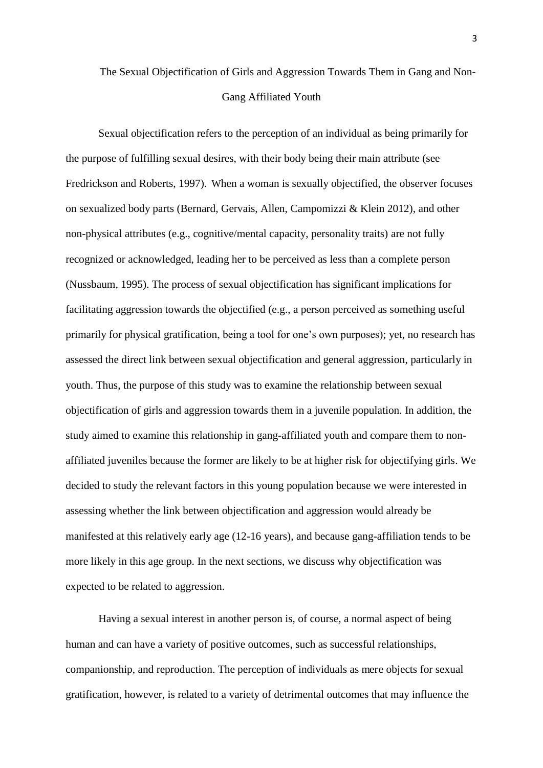## The Sexual Objectification of Girls and Aggression Towards Them in Gang and Non-Gang Affiliated Youth

Sexual objectification refers to the perception of an individual as being primarily for the purpose of fulfilling sexual desires, with their body being their main attribute (see Fredrickson and Roberts, 1997). When a woman is sexually objectified, the observer focuses on sexualized body parts (Bernard, Gervais, Allen, Campomizzi & Klein 2012), and other non-physical attributes (e.g., cognitive/mental capacity, personality traits) are not fully recognized or acknowledged, leading her to be perceived as less than a complete person (Nussbaum, 1995). The process of sexual objectification has significant implications for facilitating aggression towards the objectified (e.g., a person perceived as something useful primarily for physical gratification, being a tool for one's own purposes); yet, no research has assessed the direct link between sexual objectification and general aggression, particularly in youth. Thus, the purpose of this study was to examine the relationship between sexual objectification of girls and aggression towards them in a juvenile population. In addition, the study aimed to examine this relationship in gang-affiliated youth and compare them to nonaffiliated juveniles because the former are likely to be at higher risk for objectifying girls. We decided to study the relevant factors in this young population because we were interested in assessing whether the link between objectification and aggression would already be manifested at this relatively early age (12-16 years), and because gang-affiliation tends to be more likely in this age group. In the next sections, we discuss why objectification was expected to be related to aggression.

Having a sexual interest in another person is, of course, a normal aspect of being human and can have a variety of positive outcomes, such as successful relationships, companionship, and reproduction. The perception of individuals as mere objects for sexual gratification, however, is related to a variety of detrimental outcomes that may influence the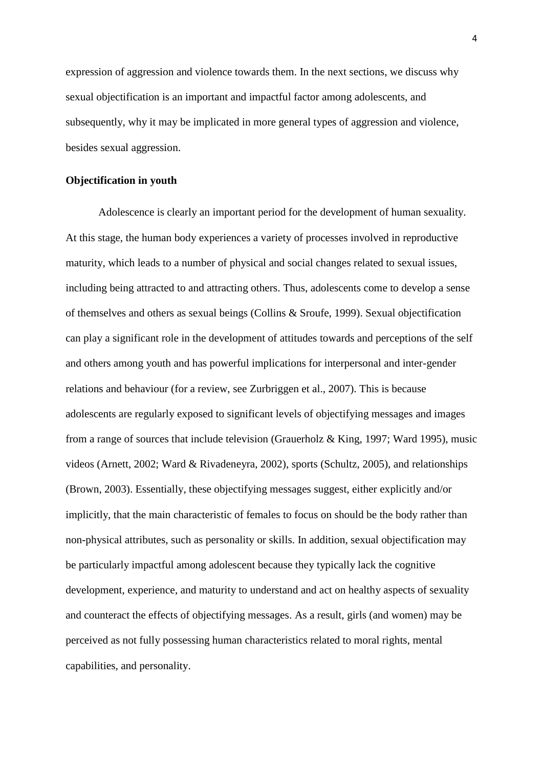expression of aggression and violence towards them. In the next sections, we discuss why sexual objectification is an important and impactful factor among adolescents, and subsequently, why it may be implicated in more general types of aggression and violence, besides sexual aggression.

#### **Objectification in youth**

Adolescence is clearly an important period for the development of human sexuality. At this stage, the human body experiences a variety of processes involved in reproductive maturity, which leads to a number of physical and social changes related to sexual issues, including being attracted to and attracting others. Thus, adolescents come to develop a sense of themselves and others as sexual beings (Collins & Sroufe, 1999). Sexual objectification can play a significant role in the development of attitudes towards and perceptions of the self and others among youth and has powerful implications for interpersonal and inter-gender relations and behaviour (for a review, see Zurbriggen et al., 2007). This is because adolescents are regularly exposed to significant levels of objectifying messages and images from a range of sources that include television (Grauerholz & King, 1997; Ward 1995), music videos (Arnett, 2002; Ward & Rivadeneyra, 2002), sports (Schultz, 2005), and relationships (Brown, 2003). Essentially, these objectifying messages suggest, either explicitly and/or implicitly, that the main characteristic of females to focus on should be the body rather than non-physical attributes, such as personality or skills. In addition, sexual objectification may be particularly impactful among adolescent because they typically lack the cognitive development, experience, and maturity to understand and act on healthy aspects of sexuality and counteract the effects of objectifying messages. As a result, girls (and women) may be perceived as not fully possessing human characteristics related to moral rights, mental capabilities, and personality.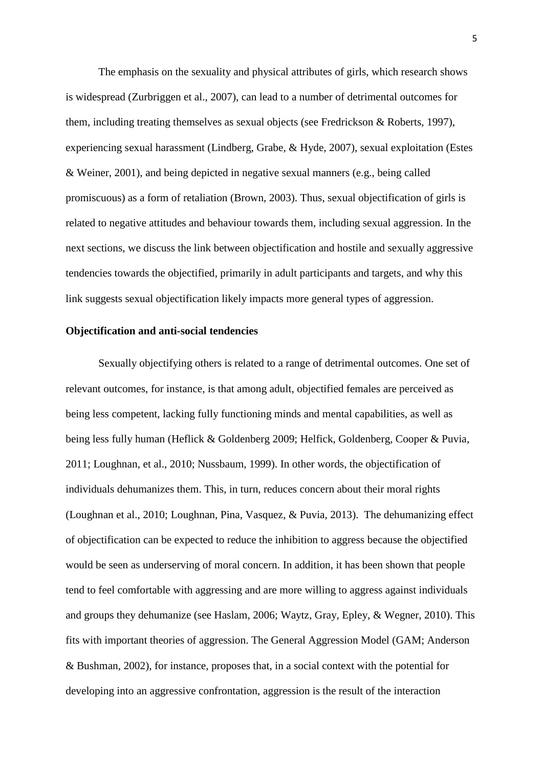The emphasis on the sexuality and physical attributes of girls, which research shows is widespread (Zurbriggen et al., 2007), can lead to a number of detrimental outcomes for them, including treating themselves as sexual objects (see Fredrickson & Roberts, 1997), experiencing sexual harassment (Lindberg, Grabe, & Hyde, 2007), sexual exploitation (Estes & Weiner, 2001), and being depicted in negative sexual manners (e.g., being called promiscuous) as a form of retaliation (Brown, 2003). Thus, sexual objectification of girls is related to negative attitudes and behaviour towards them, including sexual aggression. In the next sections, we discuss the link between objectification and hostile and sexually aggressive tendencies towards the objectified, primarily in adult participants and targets, and why this link suggests sexual objectification likely impacts more general types of aggression.

#### **Objectification and anti-social tendencies**

Sexually objectifying others is related to a range of detrimental outcomes. One set of relevant outcomes, for instance, is that among adult, objectified females are perceived as being less competent, lacking fully functioning minds and mental capabilities, as well as being less fully human (Heflick & Goldenberg 2009; Helfick, Goldenberg, Cooper & Puvia, 2011; Loughnan, et al., 2010; Nussbaum, 1999). In other words, the objectification of individuals dehumanizes them. This, in turn, reduces concern about their moral rights (Loughnan et al., 2010; Loughnan, Pina, Vasquez, & Puvia, 2013). The dehumanizing effect of objectification can be expected to reduce the inhibition to aggress because the objectified would be seen as underserving of moral concern. In addition, it has been shown that people tend to feel comfortable with aggressing and are more willing to aggress against individuals and groups they dehumanize (see Haslam, 2006; Waytz, Gray, Epley, & Wegner, 2010). This fits with important theories of aggression. The General Aggression Model (GAM; Anderson & Bushman, 2002), for instance, proposes that, in a social context with the potential for developing into an aggressive confrontation, aggression is the result of the interaction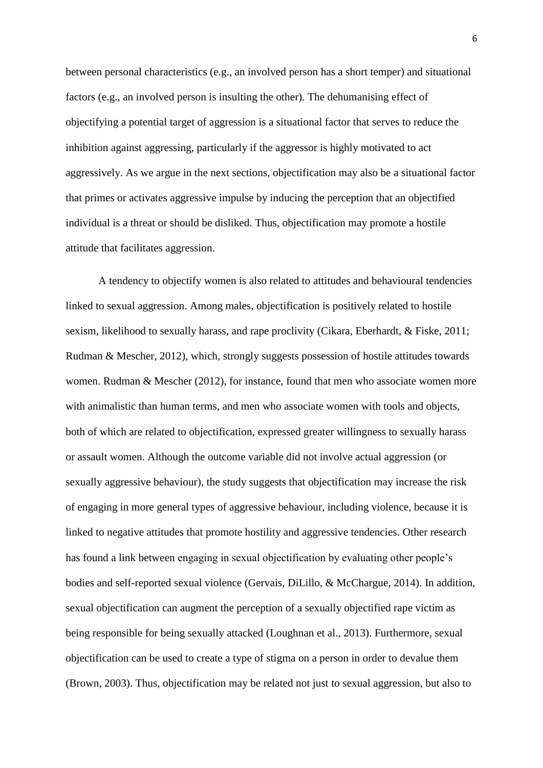between personal characteristics (e.g., an involved person has a short temper) and situational factors (e.g., an involved person is insulting the other). The dehumanising effect of objectifying a potential target of aggression is a situational factor that serves to reduce the inhibition against aggressing, particularly if the aggressor is highly motivated to act aggressively. As we argue in the next sections, objectification may also be a situational factor that primes or activates aggressive impulse by inducing the perception that an objectified individual is a threat or should be disliked. Thus, objectification may promote a hostile attitude that facilitates aggression.

A tendency to objectify women is also related to attitudes and behavioural tendencies linked to sexual aggression. Among males, objectification is positively related to hostile sexism, likelihood to sexually harass, and rape proclivity (Cikara, Eberhardt, & Fiske, 2011; Rudman & Mescher, 2012), which, strongly suggests possession of hostile attitudes towards women. Rudman & Mescher (2012), for instance, found that men who associate women more with animalistic than human terms, and men who associate women with tools and objects, both of which are related to objectification, expressed greater willingness to sexually harass or assault women. Although the outcome variable did not involve actual aggression (or sexually aggressive behaviour), the study suggests that objectification may increase the risk of engaging in more general types of aggressive behaviour, including violence, because it is linked to negative attitudes that promote hostility and aggressive tendencies. Other research has found a link between engaging in sexual objectification by evaluating other people's bodies and self-reported sexual violence (Gervais, DiLillo, & McChargue, 2014). In addition, sexual objectification can augment the perception of a sexually objectified rape victim as being responsible for being sexually attacked (Loughnan et al., 2013). Furthermore, sexual objectification can be used to create a type of stigma on a person in order to devalue them (Brown, 2003). Thus, objectification may be related not just to sexual aggression, but also to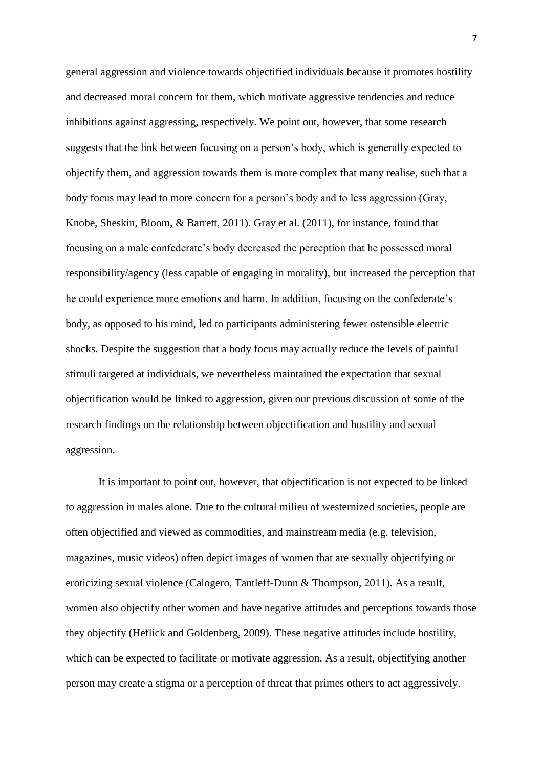general aggression and violence towards objectified individuals because it promotes hostility and decreased moral concern for them, which motivate aggressive tendencies and reduce inhibitions against aggressing, respectively. We point out, however, that some research suggests that the link between focusing on a person's body, which is generally expected to objectify them, and aggression towards them is more complex that many realise, such that a body focus may lead to more concern for a person's body and to less aggression (Gray, Knobe, Sheskin, Bloom, & Barrett, 2011). Gray et al. (2011), for instance, found that focusing on a male confederate's body decreased the perception that he possessed moral responsibility/agency (less capable of engaging in morality), but increased the perception that he could experience more emotions and harm. In addition, focusing on the confederate's body, as opposed to his mind, led to participants administering fewer ostensible electric shocks. Despite the suggestion that a body focus may actually reduce the levels of painful stimuli targeted at individuals, we nevertheless maintained the expectation that sexual objectification would be linked to aggression, given our previous discussion of some of the research findings on the relationship between objectification and hostility and sexual aggression.

It is important to point out, however, that objectification is not expected to be linked to aggression in males alone. Due to the cultural milieu of westernized societies, people are often objectified and viewed as commodities, and mainstream media (e.g. television, magazines, music videos) often depict images of women that are sexually objectifying or eroticizing sexual violence (Calogero, Tantleff-Dunn & Thompson, 2011). As a result, women also objectify other women and have negative attitudes and perceptions towards those they objectify (Heflick and Goldenberg, 2009). These negative attitudes include hostility, which can be expected to facilitate or motivate aggression. As a result, objectifying another person may create a stigma or a perception of threat that primes others to act aggressively.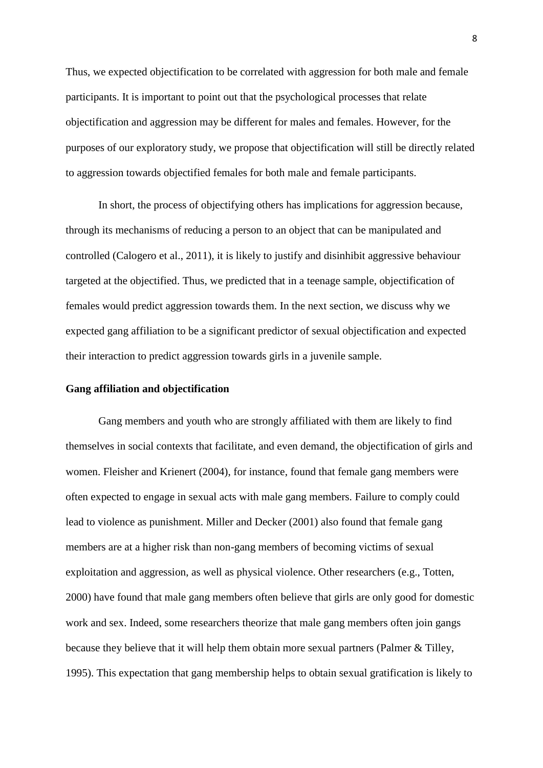Thus, we expected objectification to be correlated with aggression for both male and female participants. It is important to point out that the psychological processes that relate objectification and aggression may be different for males and females. However, for the purposes of our exploratory study, we propose that objectification will still be directly related to aggression towards objectified females for both male and female participants.

In short, the process of objectifying others has implications for aggression because, through its mechanisms of reducing a person to an object that can be manipulated and controlled (Calogero et al., 2011), it is likely to justify and disinhibit aggressive behaviour targeted at the objectified. Thus, we predicted that in a teenage sample, objectification of females would predict aggression towards them. In the next section, we discuss why we expected gang affiliation to be a significant predictor of sexual objectification and expected their interaction to predict aggression towards girls in a juvenile sample.

#### **Gang affiliation and objectification**

Gang members and youth who are strongly affiliated with them are likely to find themselves in social contexts that facilitate, and even demand, the objectification of girls and women. Fleisher and Krienert (2004), for instance, found that female gang members were often expected to engage in sexual acts with male gang members. Failure to comply could lead to violence as punishment. Miller and Decker (2001) also found that female gang members are at a higher risk than non-gang members of becoming victims of sexual exploitation and aggression, as well as physical violence. Other researchers (e.g., Totten, 2000) have found that male gang members often believe that girls are only good for domestic work and sex. Indeed, some researchers theorize that male gang members often join gangs because they believe that it will help them obtain more sexual partners (Palmer & Tilley, 1995). This expectation that gang membership helps to obtain sexual gratification is likely to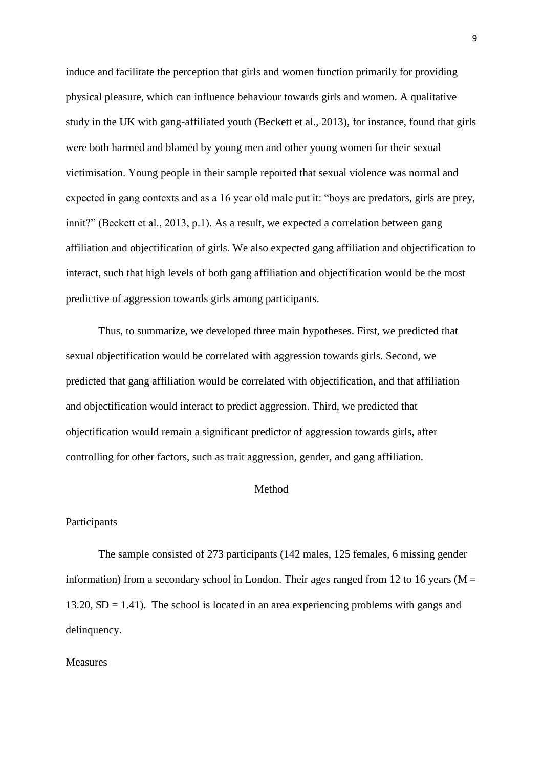induce and facilitate the perception that girls and women function primarily for providing physical pleasure, which can influence behaviour towards girls and women. A qualitative study in the UK with gang-affiliated youth (Beckett et al., 2013), for instance, found that girls were both harmed and blamed by young men and other young women for their sexual victimisation. Young people in their sample reported that sexual violence was normal and expected in gang contexts and as a 16 year old male put it: "boys are predators, girls are prey, innit?" (Beckett et al., 2013, p.1). As a result, we expected a correlation between gang affiliation and objectification of girls. We also expected gang affiliation and objectification to interact, such that high levels of both gang affiliation and objectification would be the most predictive of aggression towards girls among participants.

Thus, to summarize, we developed three main hypotheses. First, we predicted that sexual objectification would be correlated with aggression towards girls. Second, we predicted that gang affiliation would be correlated with objectification, and that affiliation and objectification would interact to predict aggression. Third, we predicted that objectification would remain a significant predictor of aggression towards girls, after controlling for other factors, such as trait aggression, gender, and gang affiliation.

#### **Method**

#### Participants

The sample consisted of 273 participants (142 males, 125 females, 6 missing gender information) from a secondary school in London. Their ages ranged from 12 to 16 years ( $M =$ 13.20,  $SD = 1.41$ ). The school is located in an area experiencing problems with gangs and delinquency.

#### Measures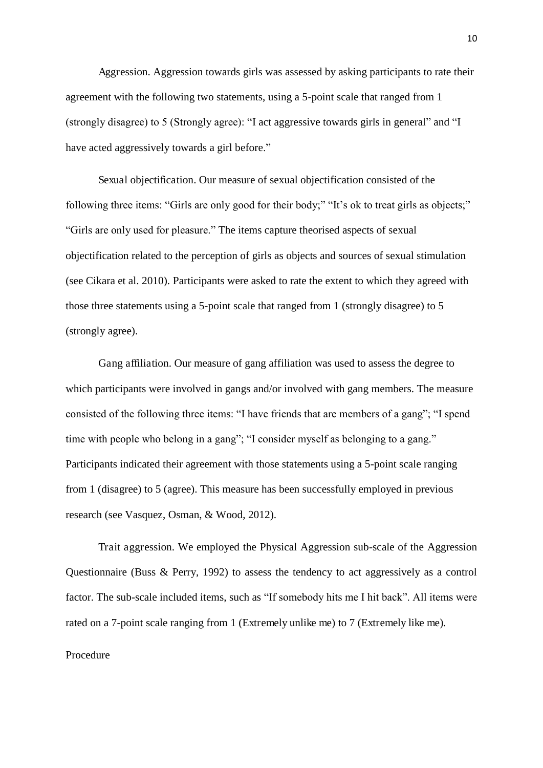Aggression. Aggression towards girls was assessed by asking participants to rate their agreement with the following two statements, using a 5-point scale that ranged from 1 (strongly disagree) to 5 (Strongly agree): "I act aggressive towards girls in general" and "I have acted aggressively towards a girl before."

Sexual objectification. Our measure of sexual objectification consisted of the following three items: "Girls are only good for their body;" "It's ok to treat girls as objects;" "Girls are only used for pleasure." The items capture theorised aspects of sexual objectification related to the perception of girls as objects and sources of sexual stimulation (see Cikara et al. 2010). Participants were asked to rate the extent to which they agreed with those three statements using a 5-point scale that ranged from 1 (strongly disagree) to 5 (strongly agree).

Gang affiliation. Our measure of gang affiliation was used to assess the degree to which participants were involved in gangs and/or involved with gang members. The measure consisted of the following three items: "I have friends that are members of a gang"; "I spend time with people who belong in a gang"; "I consider myself as belonging to a gang." Participants indicated their agreement with those statements using a 5-point scale ranging from 1 (disagree) to 5 (agree). This measure has been successfully employed in previous research (see Vasquez, Osman, & Wood, 2012).

 Trait aggression. We employed the Physical Aggression sub-scale of the Aggression Questionnaire (Buss & Perry, 1992) to assess the tendency to act aggressively as a control factor. The sub-scale included items, such as "If somebody hits me I hit back". All items were rated on a 7-point scale ranging from 1 (Extremely unlike me) to 7 (Extremely like me).

#### Procedure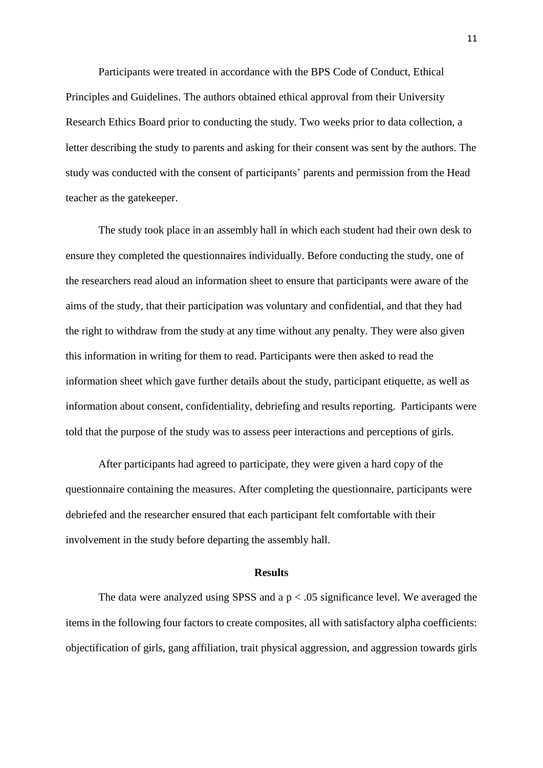Participants were treated in accordance with the BPS Code of Conduct, Ethical Principles and Guidelines. The authors obtained ethical approval from their University Research Ethics Board prior to conducting the study. Two weeks prior to data collection, a letter describing the study to parents and asking for their consent was sent by the authors. The study was conducted with the consent of participants' parents and permission from the Head teacher as the gatekeeper.

The study took place in an assembly hall in which each student had their own desk to ensure they completed the questionnaires individually. Before conducting the study, one of the researchers read aloud an information sheet to ensure that participants were aware of the aims of the study, that their participation was voluntary and confidential, and that they had the right to withdraw from the study at any time without any penalty. They were also given this information in writing for them to read. Participants were then asked to read the information sheet which gave further details about the study, participant etiquette, as well as information about consent, confidentiality, debriefing and results reporting. Participants were told that the purpose of the study was to assess peer interactions and perceptions of girls.

After participants had agreed to participate, they were given a hard copy of the questionnaire containing the measures. After completing the questionnaire, participants were debriefed and the researcher ensured that each participant felt comfortable with their involvement in the study before departing the assembly hall.

#### **Results**

The data were analyzed using SPSS and a  $p < .05$  significance level. We averaged the items in the following four factors to create composites, all with satisfactory alpha coefficients: objectification of girls, gang affiliation, trait physical aggression, and aggression towards girls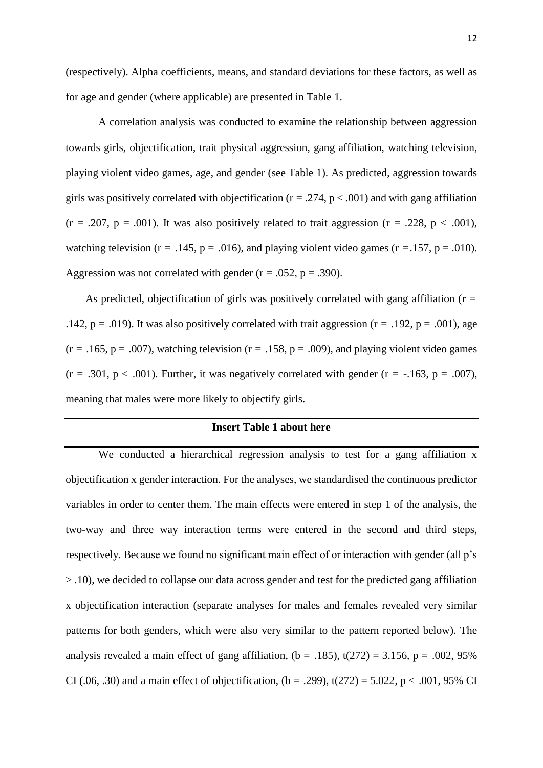(respectively). Alpha coefficients, means, and standard deviations for these factors, as well as for age and gender (where applicable) are presented in Table 1.

 A correlation analysis was conducted to examine the relationship between aggression towards girls, objectification, trait physical aggression, gang affiliation, watching television, playing violent video games, age, and gender (see Table 1). As predicted, aggression towards girls was positively correlated with objectification ( $r = .274$ ,  $p < .001$ ) and with gang affiliation  $(r = .207, p = .001)$ . It was also positively related to trait aggression  $(r = .228, p < .001)$ , watching television ( $r = .145$ ,  $p = .016$ ), and playing violent video games ( $r = .157$ ,  $p = .010$ ). Aggression was not correlated with gender ( $r = .052$ ,  $p = .390$ ).

As predicted, objectification of girls was positively correlated with gang affiliation ( $r =$ .142, p = .019). It was also positively correlated with trait aggression ( $r = .192$ , p = .001), age  $(r = .165, p = .007)$ , watching television  $(r = .158, p = .009)$ , and playing violent video games  $(r = .301, p < .001)$ . Further, it was negatively correlated with gender  $(r = -.163, p = .007)$ , meaning that males were more likely to objectify girls.

#### **Insert Table 1 about here**

We conducted a hierarchical regression analysis to test for a gang affiliation x objectification x gender interaction. For the analyses, we standardised the continuous predictor variables in order to center them. The main effects were entered in step 1 of the analysis, the two-way and three way interaction terms were entered in the second and third steps, respectively. Because we found no significant main effect of or interaction with gender (all p's > .10), we decided to collapse our data across gender and test for the predicted gang affiliation x objectification interaction (separate analyses for males and females revealed very similar patterns for both genders, which were also very similar to the pattern reported below). The analysis revealed a main effect of gang affiliation,  $(b = .185)$ ,  $t(272) = 3.156$ ,  $p = .002, 95\%$ CI (.06, .30) and a main effect of objectification, (b = .299), t(272) = 5.022, p < .001, 95% CI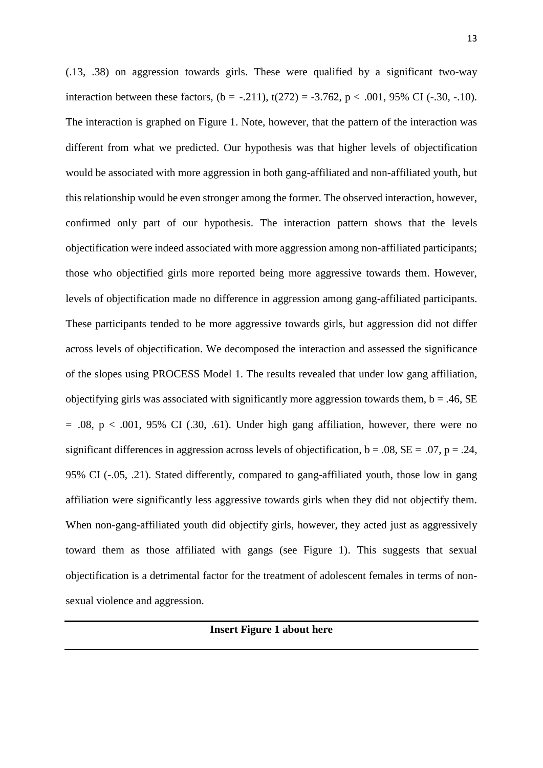(.13, .38) on aggression towards girls. These were qualified by a significant two-way interaction between these factors,  $(b = -.211)$ ,  $t(272) = -3.762$ ,  $p < .001$ , 95% CI (-.30, -.10). The interaction is graphed on Figure 1. Note, however, that the pattern of the interaction was different from what we predicted. Our hypothesis was that higher levels of objectification would be associated with more aggression in both gang-affiliated and non-affiliated youth, but this relationship would be even stronger among the former. The observed interaction, however, confirmed only part of our hypothesis. The interaction pattern shows that the levels objectification were indeed associated with more aggression among non-affiliated participants; those who objectified girls more reported being more aggressive towards them. However, levels of objectification made no difference in aggression among gang-affiliated participants. These participants tended to be more aggressive towards girls, but aggression did not differ across levels of objectification. We decomposed the interaction and assessed the significance of the slopes using PROCESS Model 1. The results revealed that under low gang affiliation, objectifying girls was associated with significantly more aggression towards them,  $b = .46$ , SE  $= .08$ ,  $p < .001$ , 95% CI (.30, .61). Under high gang affiliation, however, there were no significant differences in aggression across levels of objectification,  $b = .08$ ,  $SE = .07$ ,  $p = .24$ , 95% CI (-.05, .21). Stated differently, compared to gang-affiliated youth, those low in gang affiliation were significantly less aggressive towards girls when they did not objectify them. When non-gang-affiliated youth did objectify girls, however, they acted just as aggressively toward them as those affiliated with gangs (see Figure 1). This suggests that sexual objectification is a detrimental factor for the treatment of adolescent females in terms of nonsexual violence and aggression.

**Insert Figure 1 about here**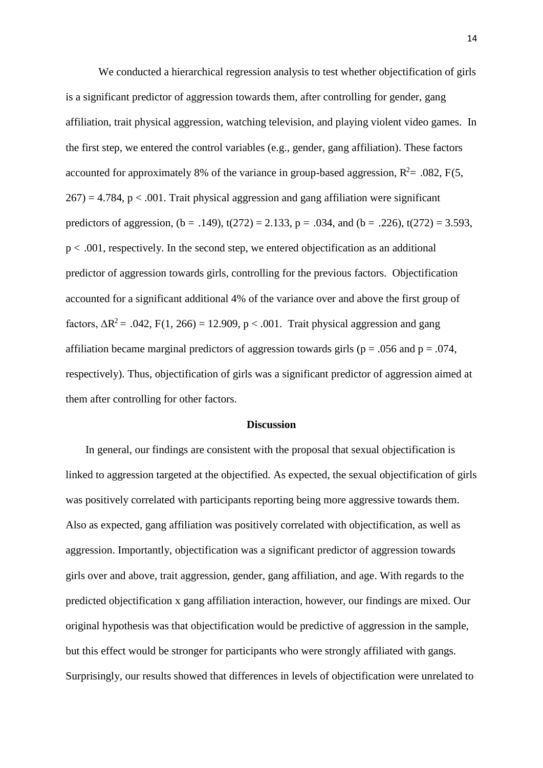We conducted a hierarchical regression analysis to test whether objectification of girls is a significant predictor of aggression towards them, after controlling for gender, gang affiliation, trait physical aggression, watching television, and playing violent video games. In the first step, we entered the control variables (e.g., gender, gang affiliation). These factors accounted for approximately 8% of the variance in group-based aggression,  $R^2$  = .082, F(5,  $267$ ) = 4.784, p < .001. Trait physical aggression and gang affiliation were significant predictors of aggression,  $(b = .149)$ ,  $t(272) = 2.133$ ,  $p = .034$ , and  $(b = .226)$ ,  $t(272) = 3.593$ ,  $p < .001$ , respectively. In the second step, we entered objectification as an additional predictor of aggression towards girls, controlling for the previous factors. Objectification accounted for a significant additional 4% of the variance over and above the first group of factors,  $\Delta R^2$  = .042, F(1, 266) = 12.909, p < .001. Trait physical aggression and gang affiliation became marginal predictors of aggression towards girls ( $p = .056$  and  $p = .074$ , respectively). Thus, objectification of girls was a significant predictor of aggression aimed at them after controlling for other factors.

#### **Discussion**

 In general, our findings are consistent with the proposal that sexual objectification is linked to aggression targeted at the objectified. As expected, the sexual objectification of girls was positively correlated with participants reporting being more aggressive towards them. Also as expected, gang affiliation was positively correlated with objectification, as well as aggression. Importantly, objectification was a significant predictor of aggression towards girls over and above, trait aggression, gender, gang affiliation, and age. With regards to the predicted objectification x gang affiliation interaction, however, our findings are mixed. Our original hypothesis was that objectification would be predictive of aggression in the sample, but this effect would be stronger for participants who were strongly affiliated with gangs. Surprisingly, our results showed that differences in levels of objectification were unrelated to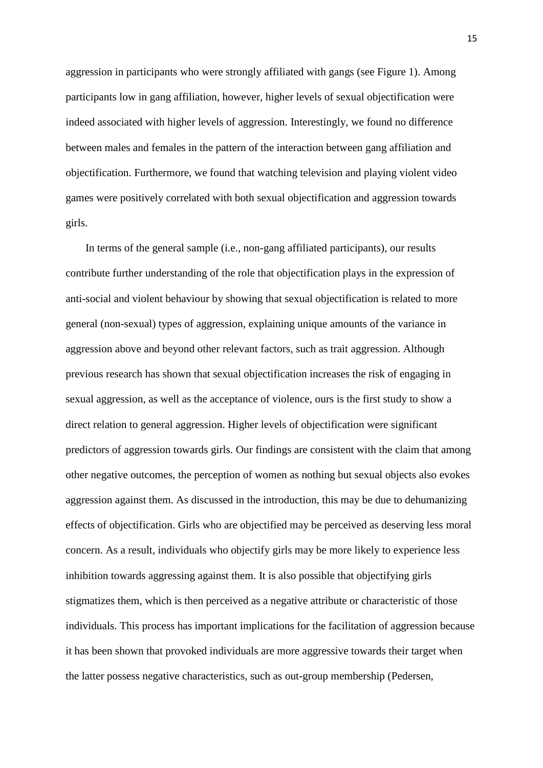aggression in participants who were strongly affiliated with gangs (see Figure 1). Among participants low in gang affiliation, however, higher levels of sexual objectification were indeed associated with higher levels of aggression. Interestingly, we found no difference between males and females in the pattern of the interaction between gang affiliation and objectification. Furthermore, we found that watching television and playing violent video games were positively correlated with both sexual objectification and aggression towards girls.

 In terms of the general sample (i.e., non-gang affiliated participants), our results contribute further understanding of the role that objectification plays in the expression of anti-social and violent behaviour by showing that sexual objectification is related to more general (non-sexual) types of aggression, explaining unique amounts of the variance in aggression above and beyond other relevant factors, such as trait aggression. Although previous research has shown that sexual objectification increases the risk of engaging in sexual aggression, as well as the acceptance of violence, ours is the first study to show a direct relation to general aggression. Higher levels of objectification were significant predictors of aggression towards girls. Our findings are consistent with the claim that among other negative outcomes, the perception of women as nothing but sexual objects also evokes aggression against them. As discussed in the introduction, this may be due to dehumanizing effects of objectification. Girls who are objectified may be perceived as deserving less moral concern. As a result, individuals who objectify girls may be more likely to experience less inhibition towards aggressing against them. It is also possible that objectifying girls stigmatizes them, which is then perceived as a negative attribute or characteristic of those individuals. This process has important implications for the facilitation of aggression because it has been shown that provoked individuals are more aggressive towards their target when the latter possess negative characteristics, such as out-group membership (Pedersen,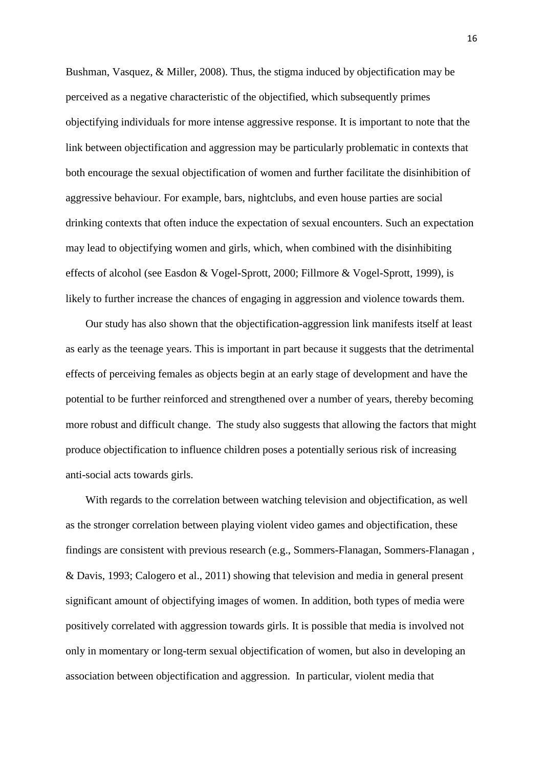Bushman, Vasquez, & Miller, 2008). Thus, the stigma induced by objectification may be perceived as a negative characteristic of the objectified, which subsequently primes objectifying individuals for more intense aggressive response. It is important to note that the link between objectification and aggression may be particularly problematic in contexts that both encourage the sexual objectification of women and further facilitate the disinhibition of aggressive behaviour. For example, bars, nightclubs, and even house parties are social drinking contexts that often induce the expectation of sexual encounters. Such an expectation may lead to objectifying women and girls, which, when combined with the disinhibiting effects of alcohol (see Easdon & Vogel-Sprott, 2000; Fillmore & Vogel-Sprott, 1999), is likely to further increase the chances of engaging in aggression and violence towards them.

 Our study has also shown that the objectification-aggression link manifests itself at least as early as the teenage years. This is important in part because it suggests that the detrimental effects of perceiving females as objects begin at an early stage of development and have the potential to be further reinforced and strengthened over a number of years, thereby becoming more robust and difficult change. The study also suggests that allowing the factors that might produce objectification to influence children poses a potentially serious risk of increasing anti-social acts towards girls.

 With regards to the correlation between watching television and objectification, as well as the stronger correlation between playing violent video games and objectification, these findings are consistent with previous research (e.g., Sommers-Flanagan, Sommers-Flanagan , & Davis, 1993; Calogero et al., 2011) showing that television and media in general present significant amount of objectifying images of women. In addition, both types of media were positively correlated with aggression towards girls. It is possible that media is involved not only in momentary or long-term sexual objectification of women, but also in developing an association between objectification and aggression. In particular, violent media that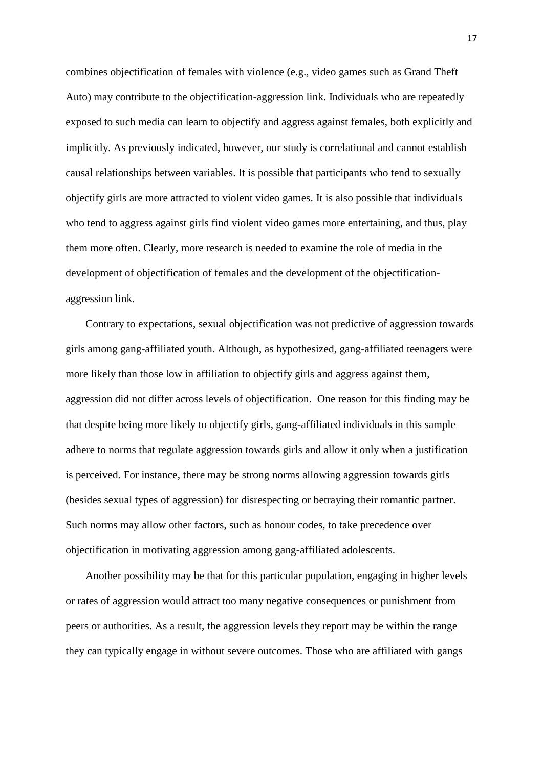combines objectification of females with violence (e.g., video games such as Grand Theft Auto) may contribute to the objectification-aggression link. Individuals who are repeatedly exposed to such media can learn to objectify and aggress against females, both explicitly and implicitly. As previously indicated, however, our study is correlational and cannot establish causal relationships between variables. It is possible that participants who tend to sexually objectify girls are more attracted to violent video games. It is also possible that individuals who tend to aggress against girls find violent video games more entertaining, and thus, play them more often. Clearly, more research is needed to examine the role of media in the development of objectification of females and the development of the objectificationaggression link.

 Contrary to expectations, sexual objectification was not predictive of aggression towards girls among gang-affiliated youth. Although, as hypothesized, gang-affiliated teenagers were more likely than those low in affiliation to objectify girls and aggress against them, aggression did not differ across levels of objectification. One reason for this finding may be that despite being more likely to objectify girls, gang-affiliated individuals in this sample adhere to norms that regulate aggression towards girls and allow it only when a justification is perceived. For instance, there may be strong norms allowing aggression towards girls (besides sexual types of aggression) for disrespecting or betraying their romantic partner. Such norms may allow other factors, such as honour codes, to take precedence over objectification in motivating aggression among gang-affiliated adolescents.

 Another possibility may be that for this particular population, engaging in higher levels or rates of aggression would attract too many negative consequences or punishment from peers or authorities. As a result, the aggression levels they report may be within the range they can typically engage in without severe outcomes. Those who are affiliated with gangs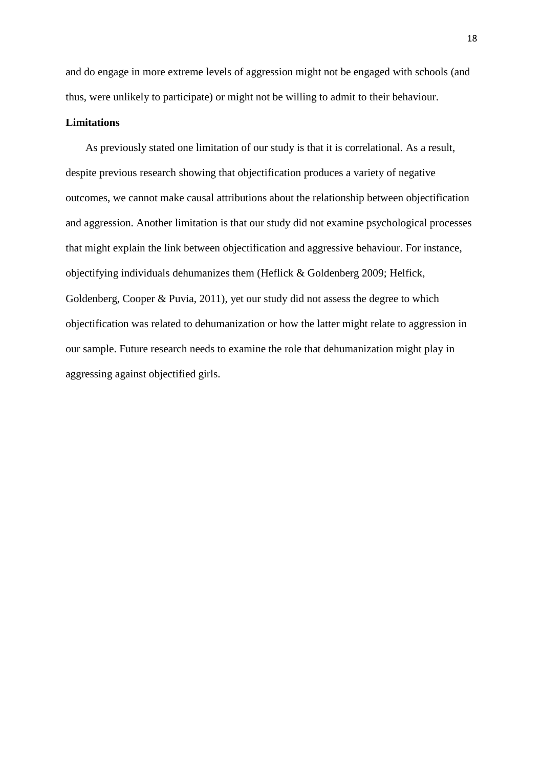and do engage in more extreme levels of aggression might not be engaged with schools (and thus, were unlikely to participate) or might not be willing to admit to their behaviour.

#### **Limitations**

 As previously stated one limitation of our study is that it is correlational. As a result, despite previous research showing that objectification produces a variety of negative outcomes, we cannot make causal attributions about the relationship between objectification and aggression. Another limitation is that our study did not examine psychological processes that might explain the link between objectification and aggressive behaviour. For instance, objectifying individuals dehumanizes them (Heflick & Goldenberg 2009; Helfick, Goldenberg, Cooper & Puvia, 2011), yet our study did not assess the degree to which objectification was related to dehumanization or how the latter might relate to aggression in our sample. Future research needs to examine the role that dehumanization might play in aggressing against objectified girls.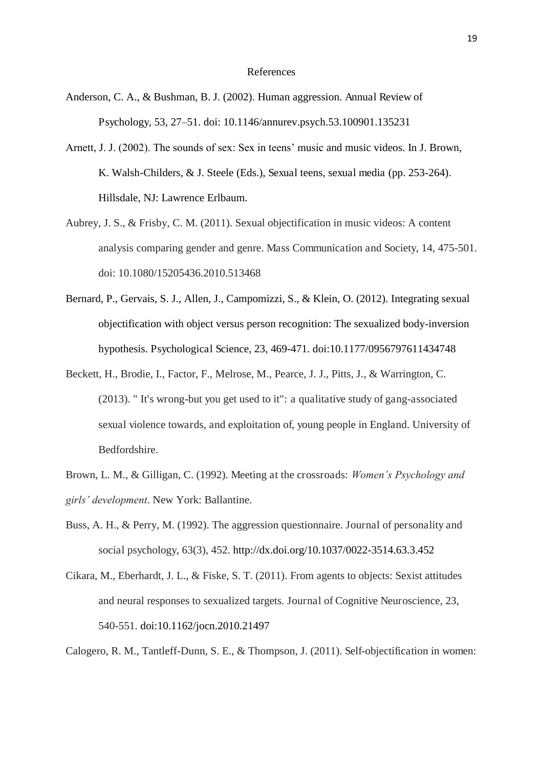#### References

- Anderson, C. A., & Bushman, B. J. (2002). Human aggression. Annual Review of Psychology, 53, 27–51. doi: 10.1146/annurev.psych.53.100901.135231
- Arnett, J. J. (2002). The sounds of sex: Sex in teens' music and music videos. In J. Brown, K. Walsh-Childers, & J. Steele (Eds.), Sexual teens, sexual media (pp. 253-264). Hillsdale, NJ: Lawrence Erlbaum.
- Aubrey, J. S., & Frisby, C. M. (2011). Sexual objectification in music videos: A content analysis comparing gender and genre. Mass Communication and Society, 14, 475-501. doi: 10.1080/15205436.2010.513468
- Bernard, P., Gervais, S. J., Allen, J., Campomizzi, S., & Klein, O. (2012). Integrating sexual objectification with object versus person recognition: The sexualized body-inversion hypothesis. Psychological Science, 23, 469-471. doi:10.1177/0956797611434748
- Beckett, H., Brodie, I., Factor, F., Melrose, M., Pearce, J. J., Pitts, J., & Warrington, C. (2013). " It's wrong-but you get used to it": a qualitative study of gang-associated sexual violence towards, and exploitation of, young people in England. University of Bedfordshire.
- Brown, L. M., & Gilligan, C. (1992). Meeting at the crossroads: *Women's Psychology and girls' development*. New York: Ballantine.
- Buss, A. H., & Perry, M. (1992). The aggression questionnaire. Journal of personality and social psychology, 63(3), 452. http://dx.doi.org/10.1037/0022-3514.63.3.452
- Cikara, M., Eberhardt, J. L., & Fiske, S. T. (2011). From agents to objects: Sexist attitudes and neural responses to sexualized targets. Journal of Cognitive Neuroscience, 23, 540-551. doi:10.1162/jocn.2010.21497

Calogero, R. M., Tantleff-Dunn, S. E., & Thompson, J. (2011). Self-objectification in women: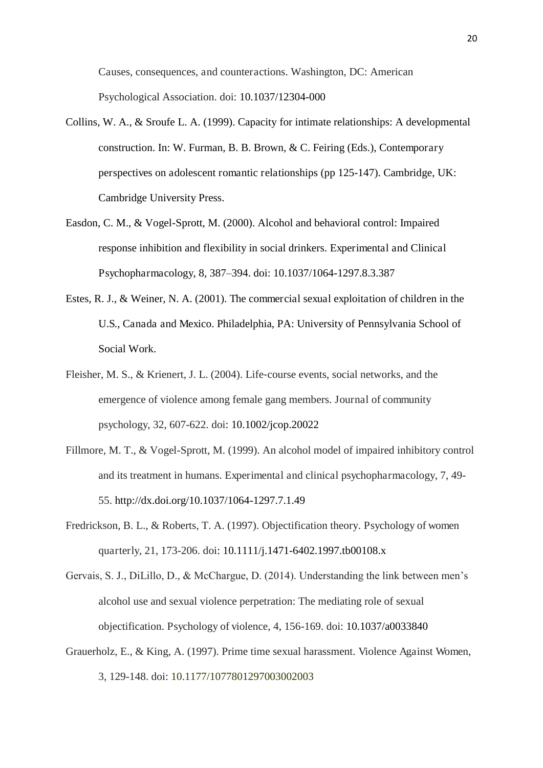Causes, consequences, and counteractions. Washington, DC: American Psychological Association. doi: 10.1037/12304-000

- Collins, W. A., & Sroufe L. A. (1999). Capacity for intimate relationships: A developmental construction. In: W. Furman, B. B. Brown, & C. Feiring (Eds.), Contemporary perspectives on adolescent romantic relationships (pp 125-147). Cambridge, UK: Cambridge University Press.
- Easdon, C. M., & Vogel-Sprott, M. (2000). Alcohol and behavioral control: Impaired response inhibition and flexibility in social drinkers. Experimental and Clinical Psychopharmacology, 8, 387–394. doi: 10.1037/1064-1297.8.3.387
- Estes, R. J., & Weiner, N. A. (2001). The commercial sexual exploitation of children in the U.S., Canada and Mexico. Philadelphia, PA: University of Pennsylvania School of Social Work.
- Fleisher, M. S., & Krienert, J. L. (2004). Life-course events, social networks, and the emergence of violence among female gang members. Journal of community psychology, 32, 607-622. doi: 10.1002/jcop.20022
- Fillmore, M. T., & Vogel-Sprott, M. (1999). An alcohol model of impaired inhibitory control and its treatment in humans. Experimental and clinical psychopharmacology, 7, 49- 55. http://dx.doi.org/10.1037/1064-1297.7.1.49
- Fredrickson, B. L., & Roberts, T. A. (1997). Objectification theory. Psychology of women quarterly, 21, 173-206. doi: 10.1111/j.1471-6402.1997.tb00108.x
- Gervais, S. J., DiLillo, D., & McChargue, D. (2014). Understanding the link between men's alcohol use and sexual violence perpetration: The mediating role of sexual objectification. Psychology of violence, 4, 156-169. doi: 10.1037/a0033840
- Grauerholz, E., & King, A. (1997). Prime time sexual harassment. Violence Against Women, 3, 129-148. doi: 10.1177/1077801297003002003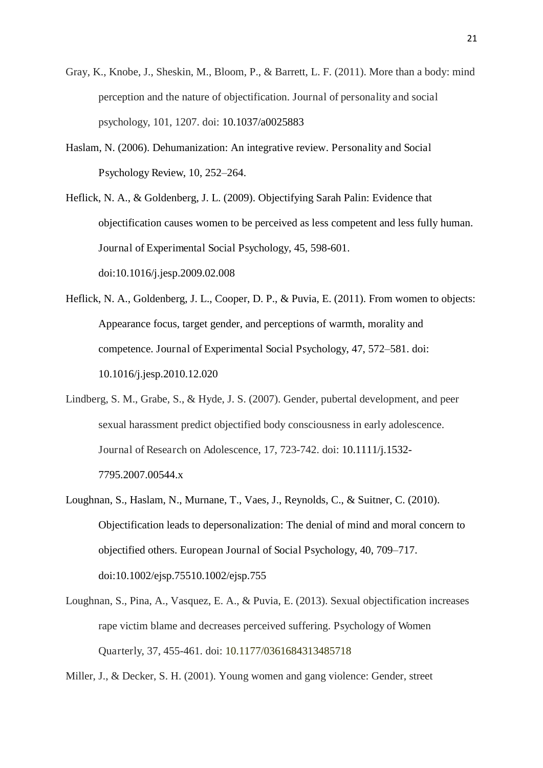- Gray, K., Knobe, J., Sheskin, M., Bloom, P., & Barrett, L. F. (2011). More than a body: mind perception and the nature of objectification. Journal of personality and social psychology, 101, 1207. doi: 10.1037/a0025883
- Haslam, N. (2006). Dehumanization: An integrative review. Personality and Social Psychology Review, 10, 252–264.
- Heflick, N. A., & Goldenberg, J. L. (2009). Objectifying Sarah Palin: Evidence that objectification causes women to be perceived as less competent and less fully human. Journal of Experimental Social Psychology, 45, 598-601. doi:10.1016/j.jesp.2009.02.008
- Heflick, N. A., Goldenberg, J. L., Cooper, D. P., & Puvia, E. (2011). From women to objects: Appearance focus, target gender, and perceptions of warmth, morality and competence. Journal of Experimental Social Psychology, 47, 572–581. doi: 10.1016/j.jesp.2010.12.020
- Lindberg, S. M., Grabe, S., & Hyde, J. S. (2007). Gender, pubertal development, and peer sexual harassment predict objectified body consciousness in early adolescence. Journal of Research on Adolescence, 17, 723-742. doi: 10.1111/j.1532- 7795.2007.00544.x
- Loughnan, S., Haslam, N., Murnane, T., Vaes, J., Reynolds, C., & Suitner, C. (2010). Objectification leads to depersonalization: The denial of mind and moral concern to objectified others. European Journal of Social Psychology, 40, 709–717. doi:10.1002/ejsp.75510.1002/ejsp.755
- Loughnan, S., Pina, A., Vasquez, E. A., & Puvia, E. (2013). Sexual objectification increases rape victim blame and decreases perceived suffering. Psychology of Women Quarterly, 37, 455-461. doi: 10.1177/0361684313485718
- Miller, J., & Decker, S. H. (2001). Young women and gang violence: Gender, street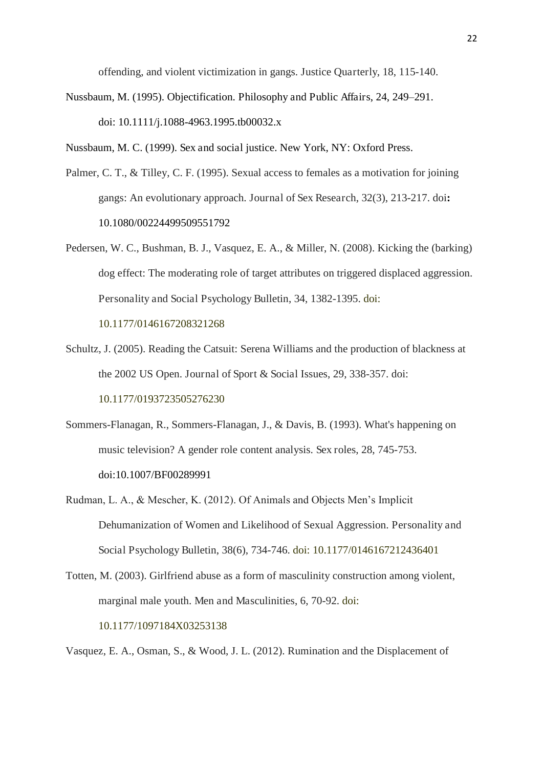offending, and violent victimization in gangs. Justice Quarterly, 18, 115-140.

Nussbaum, M. (1995). Objectification. Philosophy and Public Affairs, 24, 249–291. doi: 10.1111/j.1088-4963.1995.tb00032.x

Nussbaum, M. C. (1999). Sex and social justice. New York, NY: Oxford Press.

- Palmer, C. T., & Tilley, C. F. (1995). Sexual access to females as a motivation for joining gangs: An evolutionary approach. Journal of Sex Research, 32(3), 213-217. doi**:** 10.1080/00224499509551792
- Pedersen, W. C., Bushman, B. J., Vasquez, E. A., & Miller, N. (2008). Kicking the (barking) dog effect: The moderating role of target attributes on triggered displaced aggression. Personality and Social Psychology Bulletin, 34, 1382-1395. doi:

10.1177/0146167208321268

- Schultz, J. (2005). Reading the Catsuit: Serena Williams and the production of blackness at the 2002 US Open. Journal of Sport & Social Issues, 29, 338-357. doi: 10.1177/0193723505276230
- Sommers-Flanagan, R., Sommers-Flanagan, J., & Davis, B. (1993). What's happening on music television? A gender role content analysis. Sex roles, 28, 745-753. doi:10.1007/BF00289991
- Rudman, L. A., & Mescher, K. (2012). Of Animals and Objects Men's Implicit Dehumanization of Women and Likelihood of Sexual Aggression. Personality and Social Psychology Bulletin, 38(6), 734-746. doi: 10.1177/0146167212436401
- Totten, M. (2003). Girlfriend abuse as a form of masculinity construction among violent, marginal male youth. Men and Masculinities, 6, 70-92. doi: 10.1177/1097184X03253138

Vasquez, E. A., Osman, S., & Wood, J. L. (2012). Rumination and the Displacement of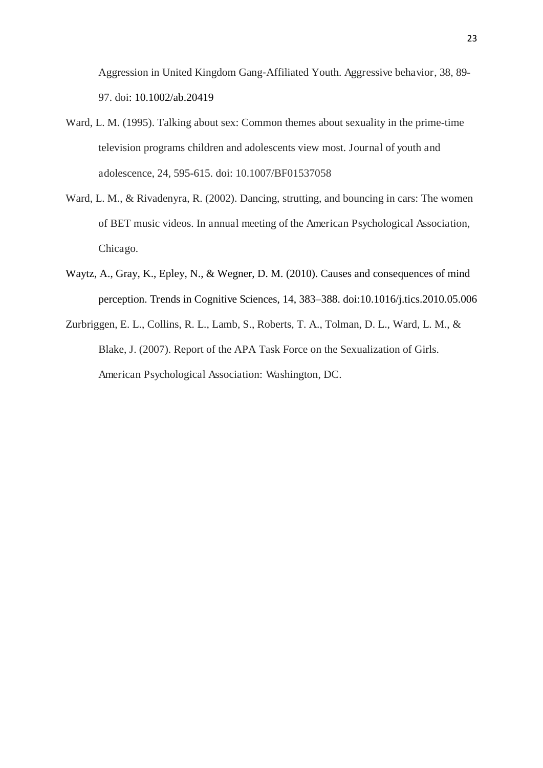Aggression in United Kingdom Gang-Affiliated Youth. Aggressive behavior, 38, 89-97. doi: 10.1002/ab.20419

- Ward, L. M. (1995). Talking about sex: Common themes about sexuality in the prime-time television programs children and adolescents view most. Journal of youth and adolescence, 24, 595-615. doi: 10.1007/BF01537058
- Ward, L. M., & Rivadenyra, R. (2002). Dancing, strutting, and bouncing in cars: The women of BET music videos. In annual meeting of the American Psychological Association, Chicago.
- Waytz, A., Gray, K., Epley, N., & Wegner, D. M. (2010). Causes and consequences of mind perception. Trends in Cognitive Sciences, 14, 383–388. doi:10.1016/j.tics.2010.05.006
- Zurbriggen, E. L., Collins, R. L., Lamb, S., Roberts, T. A., Tolman, D. L., Ward, L. M., & Blake, J. (2007). Report of the APA Task Force on the Sexualization of Girls. American Psychological Association: Washington, DC.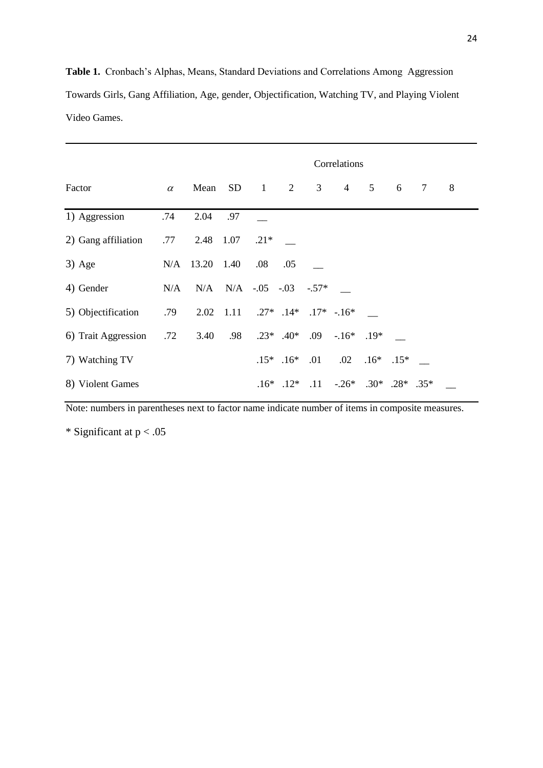**Table 1.** Cronbach's Alphas, Means, Standard Deviations and Correlations Among Aggression Towards Girls, Gang Affiliation, Age, gender, Objectification, Watching TV, and Playing Violent Video Games.

|                     |          | Correlations |      |                                   |               |     |                                  |        |        |   |   |  |
|---------------------|----------|--------------|------|-----------------------------------|---------------|-----|----------------------------------|--------|--------|---|---|--|
| Factor              | $\alpha$ | Mean         | SD   | $\overline{1}$                    | 2             | 3   | $\overline{4}$                   | 5      | 6      | 7 | 8 |  |
| 1) Aggression       | .74      | 2.04         | .97  |                                   |               |     |                                  |        |        |   |   |  |
| 2) Gang affiliation | .77      | 2.48 1.07    |      | $.21*$                            |               |     |                                  |        |        |   |   |  |
| $3)$ Age            |          | N/A 13.20    | 1.40 | .08                               | .05           |     |                                  |        |        |   |   |  |
| 4) Gender           | N/A      |              |      | $N/A$ $N/A$ $-.05$ $-.03$ $-.57*$ |               |     |                                  |        |        |   |   |  |
| 5) Objectification  | .79      |              |      | $2.02$ 1.11 $.27^*$ .14*          |               |     | $.17* - .16*$                    |        |        |   |   |  |
| 6) Trait Aggression | .72      | 3.40         | .98  |                                   | $.23*$ $.40*$ | .09 | $-16^*$ .19*                     |        |        |   |   |  |
| 7) Watching TV      |          |              |      |                                   | $.15*$ .16*   | .01 | .02                              | $.16*$ | $.15*$ |   |   |  |
| 8) Violent Games    |          |              |      |                                   | $.16*$ .12*   | .11 | $-.26^*$ $.30^*$ $.28^*$ $.35^*$ |        |        |   |   |  |

Note: numbers in parentheses next to factor name indicate number of items in composite measures.

\* Significant at p < .05